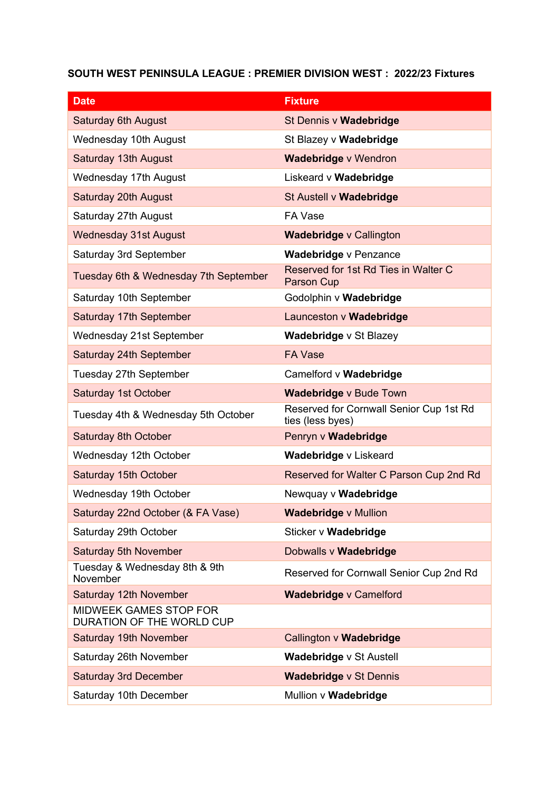## **SOUTH WEST PENINSULA LEAGUE : PREMIER DIVISION WEST : 2022/23 Fixtures**

| <b>Date</b>                                         | <b>Fixture</b>                                              |
|-----------------------------------------------------|-------------------------------------------------------------|
| <b>Saturday 6th August</b>                          | St Dennis v Wadebridge                                      |
| <b>Wednesday 10th August</b>                        | St Blazey v Wadebridge                                      |
| Saturday 13th August                                | <b>Wadebridge v Wendron</b>                                 |
| <b>Wednesday 17th August</b>                        | Liskeard v Wadebridge                                       |
| Saturday 20th August                                | St Austell v Wadebridge                                     |
| Saturday 27th August                                | <b>FA Vase</b>                                              |
| <b>Wednesday 31st August</b>                        | Wadebridge v Callington                                     |
| Saturday 3rd September                              | <b>Wadebridge v Penzance</b>                                |
| Tuesday 6th & Wednesday 7th September               | Reserved for 1st Rd Ties in Walter C<br>Parson Cup          |
| Saturday 10th September                             | Godolphin v Wadebridge                                      |
| Saturday 17th September                             | Launceston v Wadebridge                                     |
| Wednesday 21st September                            | <b>Wadebridge v St Blazey</b>                               |
| Saturday 24th September                             | <b>FA Vase</b>                                              |
| Tuesday 27th September                              | Camelford v Wadebridge                                      |
| Saturday 1st October                                | Wadebridge v Bude Town                                      |
| Tuesday 4th & Wednesday 5th October                 | Reserved for Cornwall Senior Cup 1st Rd<br>ties (less byes) |
| Saturday 8th October                                | Penryn v Wadebridge                                         |
| Wednesday 12th October                              | Wadebridge v Liskeard                                       |
| Saturday 15th October                               | Reserved for Walter C Parson Cup 2nd Rd                     |
| Wednesday 19th October                              | Newquay v Wadebridge                                        |
| Saturday 22nd October (& FA Vase)                   | <b>Wadebridge v Mullion</b>                                 |
| Saturday 29th October                               | Sticker v Wadebridge                                        |
| <b>Saturday 5th November</b>                        | Dobwalls v Wadebridge                                       |
| Tuesday & Wednesday 8th & 9th<br>November           | Reserved for Cornwall Senior Cup 2nd Rd                     |
| Saturday 12th November                              | Wadebridge v Camelford                                      |
| MIDWEEK GAMES STOP FOR<br>DURATION OF THE WORLD CUP |                                                             |
| Saturday 19th November                              | Callington v Wadebridge                                     |
| Saturday 26th November                              | <b>Wadebridge v St Austell</b>                              |
| <b>Saturday 3rd December</b>                        | <b>Wadebridge v St Dennis</b>                               |
| Saturday 10th December                              | Mullion v Wadebridge                                        |